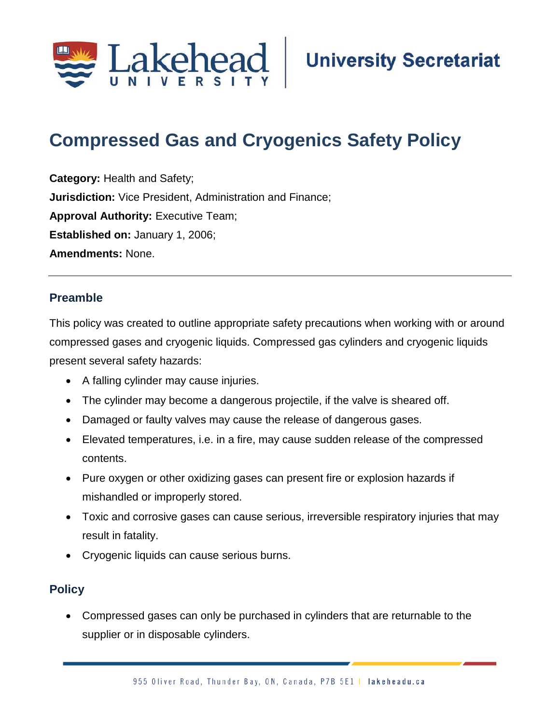

# **Compressed Gas and Cryogenics Safety Policy;;**

**Category:** Health and Safety; **Jurisdiction:** Vice President, Administration and Finance; **Approval Authority: Executive Team; Established on:** January 1, 2006; **Amendments:** None.

#### **Preamble**

This policy was created to outline appropriate safety precautions when working with or around compressed gases and cryogenic liquids. Compressed gas cylinders and cryogenic liquids present several safety hazards:

- A falling cylinder may cause injuries.
- The cylinder may become a dangerous projectile, if the valve is sheared off.
- Damaged or faulty valves may cause the release of dangerous gases.
- Elevated temperatures, i.e. in a fire, may cause sudden release of the compressed contents.
- Pure oxygen or other oxidizing gases can present fire or explosion hazards if mishandled or improperly stored.
- Toxic and corrosive gases can cause serious, irreversible respiratory injuries that may result in fatality.
- Cryogenic liquids can cause serious burns.

# **Policy**

• Compressed gases can only be purchased in cylinders that are returnable to the supplier or in disposable cylinders.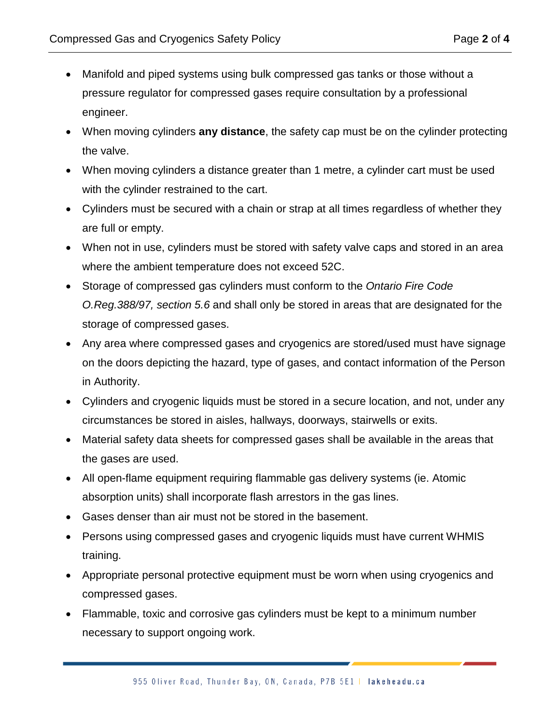- Manifold and piped systems using bulk compressed gas tanks or those without a pressure regulator for compressed gases require consultation by a professional engineer.
- When moving cylinders **any distance**, the safety cap must be on the cylinder protecting the valve.
- When moving cylinders a distance greater than 1 metre, a cylinder cart must be used with the cylinder restrained to the cart.
- Cylinders must be secured with a chain or strap at all times regardless of whether they are full or empty.
- When not in use, cylinders must be stored with safety valve caps and stored in an area where the ambient temperature does not exceed 52C.
- Storage of compressed gas cylinders must conform to the *Ontario Fire Code O.Reg.388/97, section 5.6* and shall only be stored in areas that are designated for the storage of compressed gases.
- Any area where compressed gases and cryogenics are stored/used must have signage on the doors depicting the hazard, type of gases, and contact information of the Person in Authority.
- Cylinders and cryogenic liquids must be stored in a secure location, and not, under any circumstances be stored in aisles, hallways, doorways, stairwells or exits.
- Material safety data sheets for compressed gases shall be available in the areas that the gases are used.
- All open-flame equipment requiring flammable gas delivery systems (ie. Atomic absorption units) shall incorporate flash arrestors in the gas lines.
- Gases denser than air must not be stored in the basement.
- Persons using compressed gases and cryogenic liquids must have current WHMIS training.
- Appropriate personal protective equipment must be worn when using cryogenics and compressed gases.
- Flammable, toxic and corrosive gas cylinders must be kept to a minimum number necessary to support ongoing work.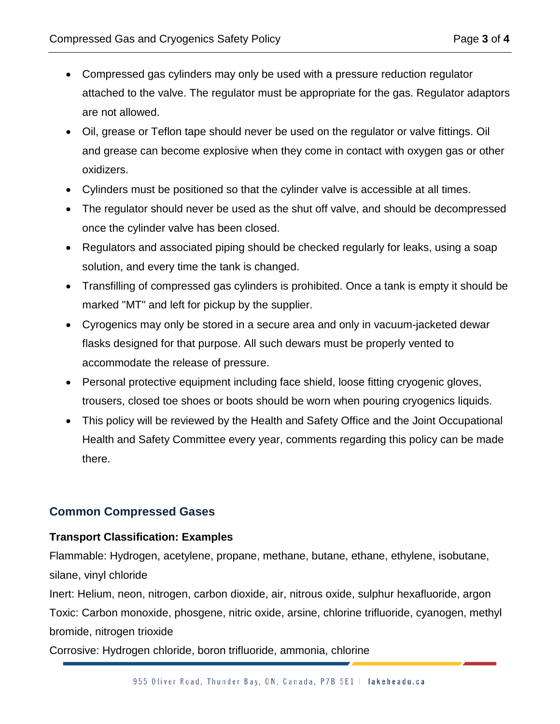- Compressed gas cylinders may only be used with a pressure reduction regulator attached to the valve. The regulator must be appropriate for the gas. Regulator adaptors are not allowed.
- Oil, grease or Teflon tape should never be used on the regulator or valve fittings. Oil and grease can become explosive when they come in contact with oxygen gas or other oxidizers.
- Cylinders must be positioned so that the cylinder valve is accessible at all times.
- The regulator should never be used as the shut off valve, and should be decompressed once the cylinder valve has been closed.
- Regulators and associated piping should be checked regularly for leaks, using a soap solution, and every time the tank is changed.
- Transfilling of compressed gas cylinders is prohibited. Once a tank is empty it should be marked "MT" and left for pickup by the supplier.
- Cyrogenics may only be stored in a secure area and only in vacuum-jacketed dewar flasks designed for that purpose. All such dewars must be properly vented to accommodate the release of pressure.
- Personal protective equipment including face shield, loose fitting cryogenic gloves, trousers, closed toe shoes or boots should be worn when pouring cryogenics liquids.
- This policy will be reviewed by the Health and Safety Office and the Joint Occupational Health and Safety Committee every year, comments regarding this policy can be made there.

# **Common Compressed Gases**

#### **Transport Classification: Examples**

Flammable: Hydrogen, acetylene, propane, methane, butane, ethane, ethylene, isobutane, silane, vinyl chloride

Inert: Helium, neon, nitrogen, carbon dioxide, air, nitrous oxide, sulphur hexafluoride, argon Toxic: Carbon monoxide, phosgene, nitric oxide, arsine, chlorine trifluoride, cyanogen, methyl bromide, nitrogen trioxide

Corrosive: Hydrogen chloride, boron trifluoride, ammonia, chlorine